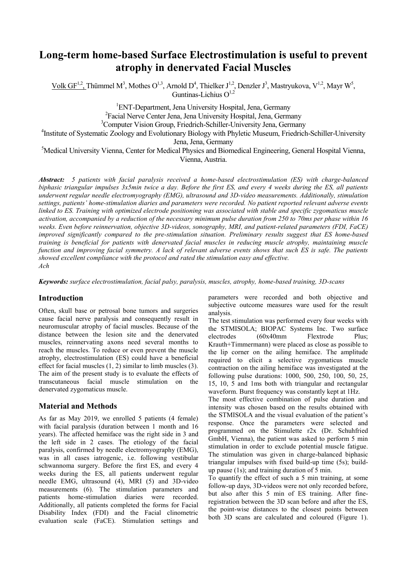# **Long-term home-based Surface Electrostimulation is useful to prevent atrophy in denervated Facial Muscles**

Volk GF<sup>1,2</sup>, Thümmel M<sup>3</sup>, Mothes O<sup>1,3</sup>, Arnold D<sup>4</sup>, Thielker J<sup>1,2</sup>, Denzler J<sup>3</sup>, Mastryukova, V<sup>1,2</sup>, Mayr W<sup>5</sup>, Guntinas-Lichius  $O^{1,2}$ 

> <sup>1</sup>ENT-Department, Jena University Hospital, Jena, Germany <sup>2</sup> Facial Nerve Center Jena, Jena University Hospital, Jena, Germany

<sup>3</sup>Computer Vision Group, Friedrich-Schiller-University Jena, Germany

<sup>4</sup>Institute of Systematic Zoology and Evolutionary Biology with Phyletic Museum, Friedrich-Schiller-University Jena, Jena, Germany

<sup>5</sup>Medical University Vienna, Center for Medical Physics and Biomedical Engineering, General Hospital Vienna, Vienna, Austria.

*Abstract: 5 patients with facial paralysis received a home-based electrostimulation (ES) with charge-balanced biphasic triangular impulses 3x5min twice a day. Before the first ES, and every 4 weeks during the ES, all patients underwent regular needle electromyography (EMG), ultrasound and 3D-video measurements. Additionally, stimulation settings, patients' home-stimulation diaries and parameters were recorded. No patient reported relevant adverse events linked to ES. Training with optimized electrode positioning was associated with stable and specific zygomaticus muscle activation, accompanied by a reduction of the necessary minimum pulse duration from 250 to 70ms per phase within 16 weeks. Even before reinnervation, objective 3D-videos, sonography, MRI, and patient-related parameters (FDI, FaCE) improved significantly compared to the pre-stimulation situation. Preliminary results suggest that ES home-based training is beneficial for patients with denervated facial muscles in reducing muscle atrophy, maintaining muscle function and improving facial symmetry. A lack of relevant adverse events shows that such ES is safe. The patients showed excellent compliance with the protocol and rated the stimulation easy and effective. Ach* 

*Keywords: surface electrostimulation, facial palsy, paralysis, muscles, atrophy, home-based training, 3D-scans*

#### **Introduction**

Often, skull base or petrosal bone tumors and surgeries cause facial nerve paralysis and consequently result in neuromuscular atrophy of facial muscles. Because of the distance between the lesion site and the denervated muscles, reinnervating axons need several months to reach the muscles. To reduce or even prevent the muscle atrophy, electrostimulation (ES) could have a beneficial effect for facial muscles (1, 2) similar to limb muscles (3). The aim of the present study is to evaluate the effects of transcutaneous facial muscle stimulation on the denervated zygomaticus muscle.

#### **Material and Methods**

As far as May 2019, we enrolled 5 patients (4 female) with facial paralysis (duration between 1 month and 16 years). The affected hemiface was the right side in 3 and the left side in 2 cases. The etiology of the facial paralysis, confirmed by needle electromyography (EMG), was in all cases iatrogenic, i.e. following vestibular schwannoma surgery. Before the first ES, and every 4 weeks during the ES, all patients underwent regular needle EMG, ultrasound (4), MRI (5) and 3D-video measurements (6). The stimulation parameters and patients home-stimulation diaries were recorded. Additionally, all patients completed the forms for Facial Disability Index (FDI) and the Facial clinometric evaluation scale (FaCE). Stimulation settings and parameters were recorded and both objective and subjective outcome measures ware used for the result analysis.

The test stimulation was performed every four weeks with the STMISOLA; BIOPAC Systems Inc. Two surface electrodes (60x40mm Flextrode Plus; Krauth+Timmermann) were placed as close as possible to the lip corner on the ailing hemiface. The amplitude required to elicit a selective zygomaticus muscle contraction on the ailing hemiface was investigated at the following pulse durations: 1000, 500, 250, 100, 50, 25, 15, 10, 5 and 1ms both with triangular and rectangular waveform. Burst frequency was constantly kept at 1Hz.

The most effective combination of pulse duration and intensity was chosen based on the results obtained with the STMISOLA and the visual evaluation of the patient's response. Once the parameters were selected and programmed on the Stimulette r2x (Dr. Schuhfried GmbH, Vienna), the patient was asked to perform 5 min stimulation in order to exclude potential muscle fatigue. The stimulation was given in charge-balanced biphasic triangular impulses with fixed build-up time (5s); buildup pause (1s); and training duration of 5 min.

To quantify the effect of such a 5 min training, at some follow-up days, 3D-videos were not only recorded before, but also after this 5 min of ES training. After fineregistration between the 3D scan before and after the ES, the point-wise distances to the closest points between both 3D scans are calculated and coloured (Figure 1).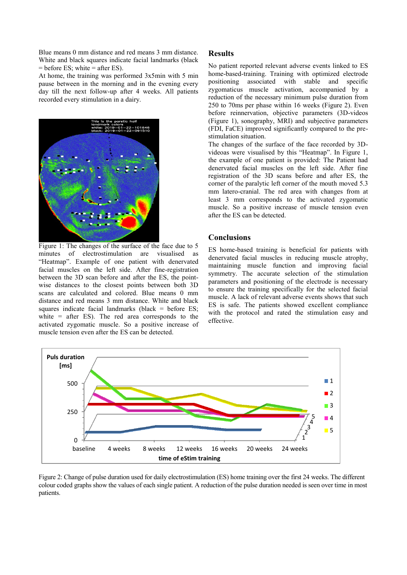Blue means 0 mm distance and red means 3 mm distance. White and black squares indicate facial landmarks (black  $=$  before ES; white  $=$  after ES).

At home, the training was performed 3x5min with 5 min pause between in the morning and in the evening every day till the next follow-up after 4 weeks. All patients recorded every stimulation in a dairy.



Figure 1: The changes of the surface of the face due to 5 minutes of electrostimulation are visualised as "Heatmap". Example of one patient with denervated facial muscles on the left side. After fine-registration between the 3D scan before and after the ES, the pointwise distances to the closest points between both 3D scans are calculated and colored. Blue means 0 mm distance and red means 3 mm distance. White and black squares indicate facial landmarks (black = before  $ES$ ; white = after ES). The red area corresponds to the activated zygomatic muscle. So a positive increase of muscle tension even after the ES can be detected.

## **Results**

No patient reported relevant adverse events linked to ES home-based-training. Training with optimized electrode positioning associated with stable and specific zygomaticus muscle activation, accompanied by a reduction of the necessary minimum pulse duration from 250 to 70ms per phase within 16 weeks (Figure 2). Even before reinnervation, objective parameters (3D-videos (Figure 1), sonography, MRI) and subjective parameters (FDI, FaCE) improved significantly compared to the prestimulation situation.

The changes of the surface of the face recorded by 3Dvideoas were visualised by this "Heatmap". In Figure 1, the example of one patient is provided: The Patient had denervated facial muscles on the left side. After fine registration of the 3D scans before and after ES, the corner of the paralytic left corner of the mouth moved 5.3 mm latero-cranial. The red area with changes from at least 3 mm corresponds to the activated zygomatic muscle. So a positive increase of muscle tension even after the ES can be detected.

## **Conclusions**

ES home-based training is beneficial for patients with denervated facial muscles in reducing muscle atrophy, maintaining muscle function and improving facial symmetry. The accurate selection of the stimulation parameters and positioning of the electrode is necessary to ensure the training specifically for the selected facial muscle. A lack of relevant adverse events shows that such ES is safe. The patients showed excellent compliance with the protocol and rated the stimulation easy and effective.



Figure 2: Change of pulse duration used for daily electrostimulation (ES) home training over the first 24 weeks. The different colour coded graphs show the values of each single patient. A reduction of the pulse duration needed is seen over time in most patients.